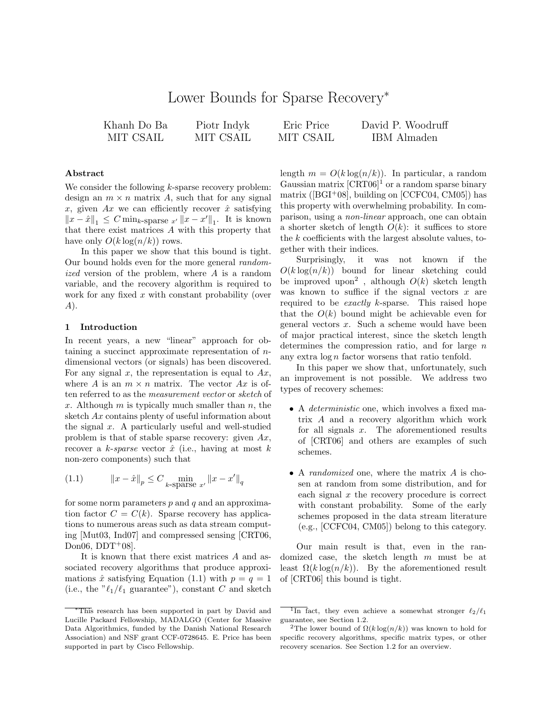# Lower Bounds for Sparse Recovery<sup>∗</sup>

| Khanh Do Ba | Piotr Indyk | Eric Price | David P. Woodruff |
|-------------|-------------|------------|-------------------|
| MIT CSAIL   | MIT CSAIL   | MIT CSAIL  | IBM Almaden       |

# Abstract

We consider the following  $k$ -sparse recovery problem: design an  $m \times n$  matrix A, such that for any signal x, given Ax we can efficiently recover  $\hat{x}$  satisfying  $||x - \hat{x}||_1 \leq C \min_{k \text{-sparse } x'} ||x - x'||_1.$  It is known that there exist matrices A with this property that have only  $O(k \log(n/k))$  rows.

In this paper we show that this bound is tight. Our bound holds even for the more general randomized version of the problem, where A is a random variable, and the recovery algorithm is required to work for any fixed  $x$  with constant probability (over A).

# 1 Introduction

In recent years, a new "linear" approach for obtaining a succinct approximate representation of ndimensional vectors (or signals) has been discovered. For any signal x, the representation is equal to  $Ax$ , where A is an  $m \times n$  matrix. The vector Ax is often referred to as the measurement vector or sketch of x. Although  $m$  is typically much smaller than  $n$ , the sketch Ax contains plenty of useful information about the signal  $x$ . A particularly useful and well-studied problem is that of stable sparse recovery: given  $Ax$ , recover a k-sparse vector  $\hat{x}$  (i.e., having at most k non-zero components) such that

(1.1) 
$$
||x - \hat{x}||_p \le C \min_{k \text{-sparse } x'} ||x - x'||_q
$$

for some norm parameters  $p$  and  $q$  and an approximation factor  $C = C(k)$ . Sparse recovery has applications to numerous areas such as data stream computing [Mut03, Ind07] and compressed sensing [CRT06, Don06,  $DDT+08$ .

It is known that there exist matrices A and associated recovery algorithms that produce approximations  $\hat{x}$  satisfying Equation (1.1) with  $p = q = 1$ (i.e., the  $^{\prime\prime} \ell_1/\ell_1$  guarantee"), constant C and sketch length  $m = O(k \log(n/k))$ . In particular, a random Gaussian matrix  $[CRT06]$ <sup>1</sup> or a random sparse binary matrix ( $[{\rm BGI^+08}]$ , building on  $[{\rm CCFC04}, {\rm CM05}]$ ) has this property with overwhelming probability. In comparison, using a non-linear approach, one can obtain a shorter sketch of length  $O(k)$ : it suffices to store the k coefficients with the largest absolute values, together with their indices.

Surprisingly, it was not known if the  $O(k \log(n/k))$  bound for linear sketching could be improved upon<sup>2</sup>, although  $O(k)$  sketch length was known to suffice if the signal vectors  $x$  are required to be exactly k-sparse. This raised hope that the  $O(k)$  bound might be achievable even for general vectors x. Such a scheme would have been of major practical interest, since the sketch length determines the compression ratio, and for large  $n$ any extra  $\log n$  factor worsens that ratio tenfold.

In this paper we show that, unfortunately, such an improvement is not possible. We address two types of recovery schemes:

- A *deterministic* one, which involves a fixed matrix A and a recovery algorithm which work for all signals  $x$ . The aforementioned results of [CRT06] and others are examples of such schemes.
- A *randomized* one, where the matrix A is chosen at random from some distribution, and for each signal  $x$  the recovery procedure is correct with constant probability. Some of the early schemes proposed in the data stream literature (e.g., [CCFC04, CM05]) belong to this category.

Our main result is that, even in the randomized case, the sketch length m must be at least  $\Omega(k \log(n/k))$ . By the aforementioned result of [CRT06] this bound is tight.

<sup>∗</sup>This research has been supported in part by David and Lucille Packard Fellowship, MADALGO (Center for Massive Data Algorithmics, funded by the Danish National Research Association) and NSF grant CCF-0728645. E. Price has been supported in part by Cisco Fellowship.

 $\overline{1_{\text{In}}}$  fact, they even achieve a somewhat stronger  $\ell_2/\ell_1$ guarantee, see Section 1.2.

<sup>&</sup>lt;sup>2</sup>The lower bound of  $\Omega(k \log(n/k))$  was known to hold for specific recovery algorithms, specific matrix types, or other recovery scenarios. See Section 1.2 for an overview.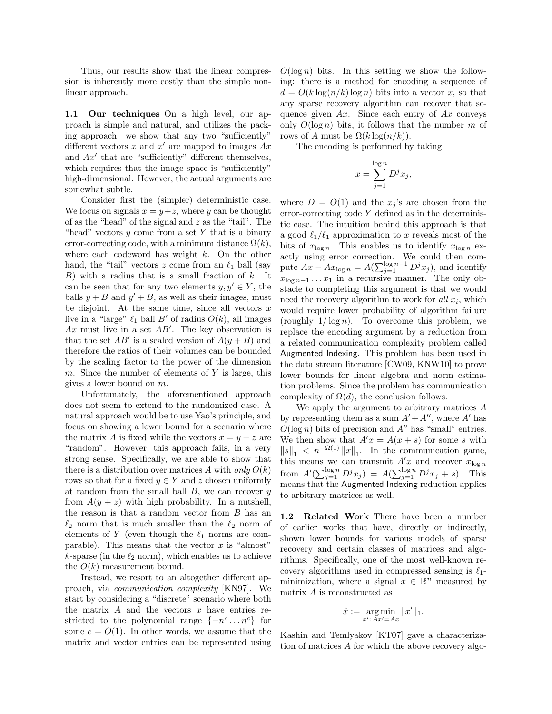Thus, our results show that the linear compression is inherently more costly than the simple nonlinear approach.

1.1 Our techniques On a high level, our approach is simple and natural, and utilizes the packing approach: we show that any two "sufficiently" different vectors x and  $x'$  are mapped to images  $Ax$ and  $Ax'$  that are "sufficiently" different themselves, which requires that the image space is "sufficiently" high-dimensional. However, the actual arguments are somewhat subtle.

Consider first the (simpler) deterministic case. We focus on signals  $x = y + z$ , where y can be thought of as the "head" of the signal and  $z$  as the "tail". The "head" vectors  $y$  come from a set  $Y$  that is a binary error-correcting code, with a minimum distance  $\Omega(k)$ , where each codeword has weight  $k$ . On the other hand, the "tail" vectors z come from an  $\ell_1$  ball (say  $B$ ) with a radius that is a small fraction of k. It can be seen that for any two elements  $y, y' \in Y$ , the balls  $y + B$  and  $y' + B$ , as well as their images, must be disjoint. At the same time, since all vectors  $x$ live in a "large"  $\ell_1$  ball B' of radius  $O(k)$ , all images Ax must live in a set  $AB'$ . The key observation is that the set  $AB'$  is a scaled version of  $A(y + B)$  and therefore the ratios of their volumes can be bounded by the scaling factor to the power of the dimension m. Since the number of elements of  $Y$  is large, this gives a lower bound on m.

Unfortunately, the aforementioned approach does not seem to extend to the randomized case. A natural approach would be to use Yao's principle, and focus on showing a lower bound for a scenario where the matrix A is fixed while the vectors  $x = y + z$  are "random". However, this approach fails, in a very strong sense. Specifically, we are able to show that there is a distribution over matrices A with only  $O(k)$ rows so that for a fixed  $y \in Y$  and z chosen uniformly at random from the small ball  $B$ , we can recover  $y$ from  $A(y + z)$  with high probability. In a nutshell, the reason is that a random vector from B has an  $\ell_2$  norm that is much smaller than the  $\ell_2$  norm of elements of Y (even though the  $\ell_1$  norms are comparable). This means that the vector  $x$  is "almost" k-sparse (in the  $\ell_2$  norm), which enables us to achieve the  $O(k)$  measurement bound.

Instead, we resort to an altogether different approach, via communication complexity [KN97]. We start by considering a "discrete" scenario where both the matrix  $A$  and the vectors  $x$  have entries restricted to the polynomial range  $\{-n^c \dots n^c\}$  for some  $c = O(1)$ . In other words, we assume that the matrix and vector entries can be represented using

 $O(\log n)$  bits. In this setting we show the following: there is a method for encoding a sequence of  $d = O(k \log(n/k) \log n)$  bits into a vector x, so that any sparse recovery algorithm can recover that sequence given  $Ax$ . Since each entry of  $Ax$  conveys only  $O(\log n)$  bits, it follows that the number m of rows of A must be  $\Omega(k \log(n/k))$ .

The encoding is performed by taking

$$
x = \sum_{j=1}^{\log n} D^j x_j,
$$

where  $D = O(1)$  and the  $x_j$ 's are chosen from the error-correcting code Y defined as in the deterministic case. The intuition behind this approach is that a good  $\ell_1/\ell_1$  approximation to x reveals most of the bits of  $x_{\log n}$ . This enables us to identify  $x_{\log n}$  exactly using error correction. We could then compute  $Ax - Ax_{\log n} = A(\sum_{j=1}^{\log n-1} D^j x_j)$ , and identify  $x_{\log n-1} \dots x_1$  in a recursive manner. The only obstacle to completing this argument is that we would need the recovery algorithm to work for  $all x_i$ , which would require lower probability of algorithm failure (roughly  $1/\log n$ ). To overcome this problem, we replace the encoding argument by a reduction from a related communication complexity problem called Augmented Indexing. This problem has been used in the data stream literature [CW09, KNW10] to prove lower bounds for linear algebra and norm estimation problems. Since the problem has communication complexity of  $\Omega(d)$ , the conclusion follows.

We apply the argument to arbitrary matrices A by representing them as a sum  $A' + A''$ , where A' has  $O(\log n)$  bits of precision and  $A''$  has "small" entries. We then show that  $A'x = A(x + s)$  for some s with  $||s||_1 < n^{-\Omega(1)} ||x||_1$ . In the communication game, this means we can transmit  $A'x$  and recover  $x_{\log n}$ from  $A'(\sum_{j=1}^{\log n} D^j x_j) = A(\sum_{j=1}^{\log n} D^j x_j + s)$ . This means that the Augmented Indexing reduction applies to arbitrary matrices as well.

1.2 Related Work There have been a number of earlier works that have, directly or indirectly, shown lower bounds for various models of sparse recovery and certain classes of matrices and algorithms. Specifically, one of the most well-known recovery algorithms used in compressed sensing is  $\ell_1$ minimization, where a signal  $x \in \mathbb{R}^n$  measured by matrix A is reconstructed as

$$
\hat{x} := \underset{x': Ax' = Ax}{\arg \min} \|x'\|_1.
$$

Kashin and Temlyakov [KT07] gave a characterization of matrices A for which the above recovery algo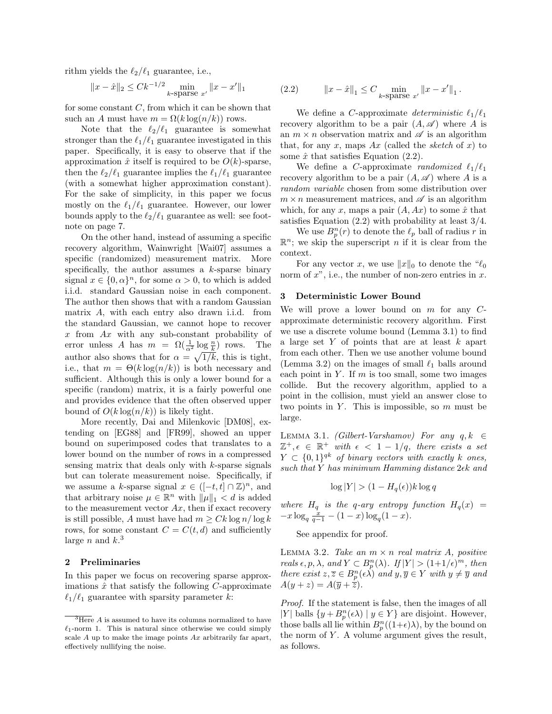rithm yields the  $\ell_2/\ell_1$  guarantee, i.e.,

$$
||x - \hat{x}||_2 \le Ck^{-1/2} \min_{k \text{-sparse } x'} ||x - x'||_1
$$

for some constant  $C$ , from which it can be shown that such an A must have  $m = \Omega(k \log(n/k))$  rows.

Note that the  $\ell_2/\ell_1$  guarantee is somewhat stronger than the  $\ell_1/\ell_1$  guarantee investigated in this paper. Specifically, it is easy to observe that if the approximation  $\hat{x}$  itself is required to be  $O(k)$ -sparse, then the  $\ell_2/\ell_1$  guarantee implies the  $\ell_1/\ell_1$  guarantee (with a somewhat higher approximation constant). For the sake of simplicity, in this paper we focus mostly on the  $\ell_1/\ell_1$  guarantee. However, our lower bounds apply to the  $\ell_2/\ell_1$  guarantee as well: see footnote on page 7.

On the other hand, instead of assuming a specific recovery algorithm, Wainwright [Wai07] assumes a specific (randomized) measurement matrix. More specifically, the author assumes a  $k$ -sparse binary signal  $x \in \{0, \alpha\}^n$ , for some  $\alpha > 0$ , to which is added i.i.d. standard Gaussian noise in each component. The author then shows that with a random Gaussian matrix A, with each entry also drawn i.i.d. from the standard Gaussian, we cannot hope to recover  $x$  from  $Ax$  with any sub-constant probability of error unless A has  $m = \Omega(\frac{1}{\alpha^2} \log \frac{n}{k})$  rows. The author also shows that for  $\alpha = \sqrt{1/k}$ , this is tight, i.e., that  $m = \Theta(k \log(n/k))$  is both necessary and sufficient. Although this is only a lower bound for a specific (random) matrix, it is a fairly powerful one and provides evidence that the often observed upper bound of  $O(k \log(n/k))$  is likely tight.

More recently, Dai and Milenkovic [DM08], extending on [EG88] and [FR99], showed an upper bound on superimposed codes that translates to a lower bound on the number of rows in a compressed sensing matrix that deals only with  $k$ -sparse signals but can tolerate measurement noise. Specifically, if we assume a k-sparse signal  $x \in ([-t, t] \cap \mathbb{Z})^n$ , and that arbitrary noise  $\mu \in \mathbb{R}^n$  with  $\|\mu\|_1 < d$  is added to the measurement vector  $Ax$ , then if exact recovery is still possible, A must have had  $m > Ck \log n / \log k$ rows, for some constant  $C = C(t, d)$  and sufficiently large *n* and  $k$ <sup>3</sup>

### 2 Preliminaries

In this paper we focus on recovering sparse approximations  $\hat{x}$  that satisfy the following C-approximate  $\ell_1/\ell_1$  guarantee with sparsity parameter k:

(2.2) 
$$
||x - \hat{x}||_1 \leq C \min_{k \text{-sparse } x'} ||x - x'||_1.
$$

We define a C-approximate *deterministic*  $\ell_1/\ell_1$ recovery algorithm to be a pair  $(A, \mathscr{A})$  where A is an  $m \times n$  observation matrix and  $\mathscr A$  is an algorithm that, for any x, maps  $Ax$  (called the sketch of x) to some  $\hat{x}$  that satisfies Equation (2.2).

We define a C-approximate *randomized*  $\ell_1/\ell_1$ recovery algorithm to be a pair  $(A, \mathscr{A})$  where A is a random variable chosen from some distribution over  $m \times n$  measurement matrices, and  $\mathscr A$  is an algorithm which, for any x, maps a pair  $(A, Ax)$  to some  $\hat{x}$  that satisfies Equation (2.2) with probability at least 3/4.

We use  $B_p^n(r)$  to denote the  $\ell_p$  ball of radius r in  $\mathbb{R}^n$ ; we skip the superscript *n* if it is clear from the context.

For any vector x, we use  $||x||_0$  to denote the " $\ell_0$ norm of  $x^{\prime\prime}$ , i.e., the number of non-zero entries in  $x$ .

#### 3 Deterministic Lower Bound

We will prove a lower bound on  $m$  for any  $C$ approximate deterministic recovery algorithm. First we use a discrete volume bound (Lemma 3.1) to find a large set  $Y$  of points that are at least  $k$  apart from each other. Then we use another volume bound (Lemma 3.2) on the images of small  $\ell_1$  balls around each point in  $Y$ . If  $m$  is too small, some two images collide. But the recovery algorithm, applied to a point in the collision, must yield an answer close to two points in  $Y$ . This is impossible, so  $m$  must be large.

LEMMA 3.1. *(Gilbert-Varshamov)* For any  $q, k \in$  $\mathbb{Z}^+$ ,  $\epsilon \in \mathbb{R}^+$  with  $\epsilon < 1 - 1/q$ , there exists a set  $Y \subset \{0,1\}^{qk}$  of binary vectors with exactly k ones, such that Y has minimum Hamming distance  $2\epsilon k$  and

$$
\log|Y| > (1 - H_q(\epsilon))k \log q
$$

where  $H_q$  is the q-ary entropy function  $H_q(x)$  =  $-x \log_q \frac{x}{q-1} - (1-x) \log_q(1-x).$ 

See appendix for proof.

LEMMA 3.2. Take an  $m \times n$  real matrix A, positive reals  $\epsilon, p, \lambda$ , and  $Y \subset B_p^n(\lambda)$ . If  $|Y| > (1+1/\epsilon)^m$ , then there exist  $z, \overline{z} \in B_{p}^{n}(\epsilon \lambda)$  and  $y, \overline{y} \in Y$  with  $y \neq \overline{y}$  and  $A(y+z) = A(\overline{y} + \overline{z}).$ 

Proof. If the statement is false, then the images of all |Y| balls  $\{y + B_p^n(\epsilon \lambda) \mid y \in Y\}$  are disjoint. However, those balls all lie within  $B_p^n((1+\epsilon)\lambda)$ , by the bound on the norm of  $Y$ . A volume argument gives the result, as follows.

 $\overline{3\text{Here}}$  A is assumed to have its columns normalized to have  $\ell_1$ -norm 1. This is natural since otherwise we could simply scale  $A$  up to make the image points  $Ax$  arbitrarily far apart, effectively nullifying the noise.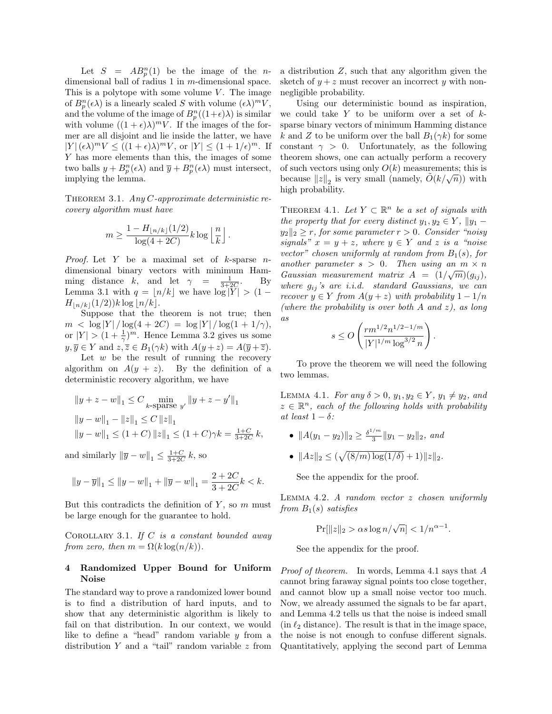Let  $S = AB_p^n(1)$  be the image of the *n*dimensional ball of radius 1 in m-dimensional space. This is a polytope with some volume  $V$ . The image of  $B_p^n(\epsilon \lambda)$  is a linearly scaled S with volume  $(\epsilon \lambda)^m V$ , and the volume of the image of  $B_p^n((1+\epsilon)\lambda)$  is similar with volume  $((1 + \epsilon)\lambda)^m V$ . If the images of the former are all disjoint and lie inside the latter, we have  $|Y| (\epsilon \lambda)^m V \le ((1 + \epsilon) \lambda)^m V$ , or  $|Y| \le (1 + 1/\epsilon)^m$ . If Y has more elements than this, the images of some two balls  $y + B_p^n(\epsilon \lambda)$  and  $\overline{y} + B_p^n(\epsilon \lambda)$  must intersect, implying the lemma.

THEOREM 3.1. Any  $C$ -approximate deterministic recovery algorithm must have

$$
m \ge \frac{1 - H_{\lfloor n/k \rfloor}(1/2)}{\log(4 + 2C)} k \log \left\lfloor \frac{n}{k} \right\rfloor.
$$

*Proof.* Let Y be a maximal set of  $k$ -sparse ndimensional binary vectors with minimum Hamming distance k, and let  $\gamma = \frac{1}{3+2C}$ . By Lemma 3.1 with  $q = \lfloor n/k \rfloor$  we have  $\log |Y| > (1 H_{\lfloor n/k\rfloor}(1/2))k\log |n/k|.$ 

Suppose that the theorem is not true; then  $m < \log |Y| / \log(4 + 2C) = \log |Y| / \log(1 + 1/\gamma),$ or  $|Y| > (1 + \frac{1}{\gamma})^m$ . Hence Lemma 3.2 gives us some  $y, \overline{y} \in Y$  and  $z, \overline{z} \in B_1(\gamma k)$  with  $A(y+z) = A(\overline{y} + \overline{z}).$ 

Let  $w$  be the result of running the recovery algorithm on  $A(y + z)$ . By the definition of a deterministic recovery algorithm, we have

$$
\begin{aligned} &\|y+z-w\|_1\leq C\min_{k-\text{sparse }y'}\|y+z-y'\|_1\\ &\|y-w\|_1-\|z\|_1\leq C\,\|z\|_1\\ &\|y-w\|_1\leq (1+C)\,\|z\|_1\leq (1+C)\gamma k=\tfrac{1+C}{3+2C}\,k, \end{aligned}
$$

and similarly  $\|\overline{y} - w\|_1 \le \frac{1+C}{3+2C} k$ , so

$$
||y - \overline{y}||_1 \le ||y - w||_1 + ||\overline{y} - w||_1 = \frac{2 + 2C}{3 + 2C}k < k.
$$

But this contradicts the definition of  $Y$ , so  $m$  must be large enough for the guarantee to hold.

COROLLARY 3.1. If  $C$  is a constant bounded away from zero, then  $m = \Omega(k \log(n/k)).$ 

# 4 Randomized Upper Bound for Uniform Noise

The standard way to prove a randomized lower bound is to find a distribution of hard inputs, and to show that any deterministic algorithm is likely to fail on that distribution. In our context, we would like to define a "head" random variable y from a distribution  $Y$  and a "tail" random variable  $z$  from

a distribution Z, such that any algorithm given the sketch of  $y + z$  must recover an incorrect y with nonnegligible probability.

Using our deterministic bound as inspiration, we could take  $Y$  to be uniform over a set of  $k$ sparse binary vectors of minimum Hamming distance k and Z to be uniform over the ball  $B_1(\gamma k)$  for some constant  $\gamma > 0$ . Unfortunately, as the following theorem shows, one can actually perform a recovery of such vectors using only  $O(k)$  measurements; this is because  $||z||_2$  is very small (namely,  $\tilde{O}(k/\sqrt{n})$ ) with high probability.

THEOREM 4.1. Let  $Y \subset \mathbb{R}^n$  be a set of signals with the property that for every distinct  $y_1, y_2 \in Y$ ,  $||y_1$  $y_2 \|_2 \geq r$ , for some parameter  $r > 0$ . Consider "noisy" signals"  $x = y + z$ , where  $y \in Y$  and z is a "noise" vector" chosen uniformly at random from  $B_1(s)$ , for another parameter  $s > 0$ . Then using an  $m \times n$ Gaussian measurement matrix  $A = (1/\sqrt{m})(g_{ij}),$ where  $g_{ij}$ 's are i.i.d. standard Gaussians, we can recover  $y \in Y$  from  $A(y + z)$  with probability  $1 - 1/n$ (where the probability is over both  $A$  and  $z$ ), as long as

$$
s \le O\left(\frac{rm^{1/2}n^{1/2-1/m}}{|Y|^{1/m} \log^{3/2} n}\right)
$$

.

To prove the theorem we will need the following two lemmas.

LEMMA 4.1. For any  $\delta > 0$ ,  $y_1, y_2 \in Y$ ,  $y_1 \neq y_2$ , and  $z \in \mathbb{R}^n$ , each of the following holds with probability at least  $1 - \delta$ :

- $||A(y_1 y_2)||_2 \geq \frac{\delta^{1/m}}{3}$  $\frac{y_m}{3}$ ||y<sub>1</sub> - y<sub>2</sub>||<sub>2</sub>, and
- $||Az||_2 \le (\sqrt{(8/m)\log(1/\delta)} + 1)||z||_2.$

See the appendix for the proof.

Lemma 4.2. A random vector z chosen uniformly from  $B_1(s)$  satisfies

$$
\Pr[\|z\|_2 > \alpha s \log n/\sqrt{n}] < 1/n^{\alpha - 1}.
$$

See the appendix for the proof.

Proof of theorem. In words, Lemma 4.1 says that A cannot bring faraway signal points too close together, and cannot blow up a small noise vector too much. Now, we already assumed the signals to be far apart, and Lemma 4.2 tells us that the noise is indeed small (in  $\ell_2$  distance). The result is that in the image space, the noise is not enough to confuse different signals. Quantitatively, applying the second part of Lemma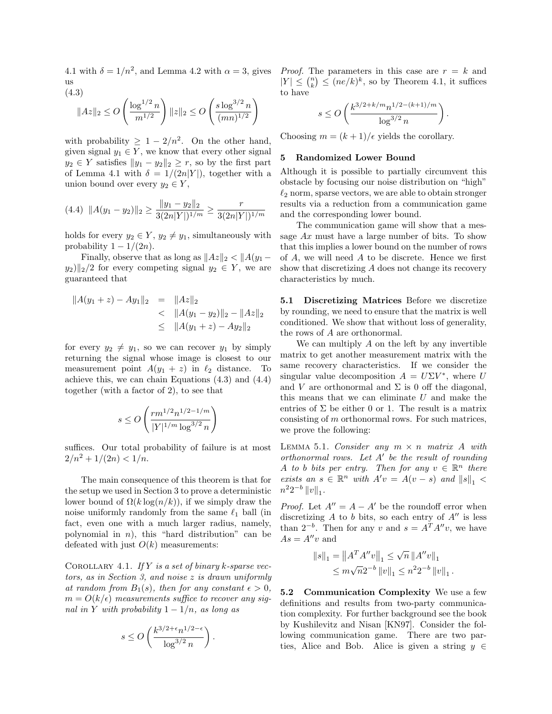4.1 with  $\delta = 1/n^2$ , and Lemma 4.2 with  $\alpha = 3$ , gives *Proof.* The parameters in this case are  $r = k$  and us (4.3)

$$
||Az||_2 \le O\left(\frac{\log^{1/2} n}{m^{1/2}}\right) ||z||_2 \le O\left(\frac{s \log^{3/2} n}{(mn)^{1/2}}\right)
$$

with probability  $\geq 1-2/n^2$ . On the other hand, given signal  $y_1 \in Y$ , we know that every other signal  $y_2 \in Y$  satisfies  $||y_1 - y_2||_2 \ge r$ , so by the first part of Lemma 4.1 with  $\delta = 1/(2n|Y|)$ , together with a union bound over every  $y_2 \in Y$ ,

$$
(4.4) \quad ||A(y_1 - y_2)||_2 \ge \frac{||y_1 - y_2||_2}{3(2n|Y|)^{1/m}} \ge \frac{r}{3(2n|Y|)^{1/m}}
$$

holds for every  $y_2 \in Y$ ,  $y_2 \neq y_1$ , simultaneously with probability  $1 - 1/(2n)$ .

Finally, observe that as long as  $||Az||_2 < ||A(y_1 y_2$ ||<sub>2</sub>/2 for every competing signal  $y_2 \in Y$ , we are guaranteed that

$$
||A(y_1 + z) - Ay_1||_2 = ||Az||_2
$$
  
< 
$$
< ||A(y_1 - y_2)||_2 - ||Az||_2
$$
  

$$
\le ||A(y_1 + z) - Ay_2||_2
$$

for every  $y_2 \neq y_1$ , so we can recover  $y_1$  by simply returning the signal whose image is closest to our measurement point  $A(y_1 + z)$  in  $\ell_2$  distance. To achieve this, we can chain Equations (4.3) and (4.4) together (with a factor of 2), to see that

$$
s \leq O\left(\frac{rm^{1/2}n^{1/2-1/m}}{|Y|^{1/m} \log^{3/2} n}\right)
$$

suffices. Our total probability of failure is at most  $2/n^2 + 1/(2n) < 1/n$ .

The main consequence of this theorem is that for the setup we used in Section 3 to prove a deterministic lower bound of  $\Omega(k \log(n/k))$ , if we simply draw the noise uniformly randomly from the same  $\ell_1$  ball (in fact, even one with a much larger radius, namely, polynomial in  $n$ ), this "hard distribution" can be defeated with just  $O(k)$  measurements:

COROLLARY 4.1. If Y is a set of binary k-sparse vectors, as in Section 3, and noise z is drawn uniformly at random from  $B_1(s)$ , then for any constant  $\epsilon > 0$ ,  $m = O(k/\epsilon)$  measurements suffice to recover any signal in Y with probability  $1 - 1/n$ , as long as

$$
s \leq O\left(\frac{k^{3/2+\epsilon}n^{1/2-\epsilon}}{\log^{3/2}n}\right).
$$

 $|Y| \leq {n \choose k} \leq (ne/k)^k$ , so by Theorem 4.1, it suffices to have

$$
s \le O\left(\frac{k^{3/2 + k/m} n^{1/2 - (k+1)/m}}{\log^{3/2} n}\right).
$$

Choosing  $m = (k+1)/\epsilon$  yields the corollary.

### 5 Randomized Lower Bound

Although it is possible to partially circumvent this obstacle by focusing our noise distribution on "high"  $\ell_2$  norm, sparse vectors, we are able to obtain stronger results via a reduction from a communication game and the corresponding lower bound.

The communication game will show that a message Ax must have a large number of bits. To show that this implies a lower bound on the number of rows of A, we will need A to be discrete. Hence we first show that discretizing A does not change its recovery characteristics by much.

5.1 Discretizing Matrices Before we discretize by rounding, we need to ensure that the matrix is well conditioned. We show that without loss of generality, the rows of A are orthonormal.

We can multiply A on the left by any invertible matrix to get another measurement matrix with the same recovery characteristics. If we consider the singular value decomposition  $A = U\Sigma V^*$ , where U and V are orthonormal and  $\Sigma$  is 0 off the diagonal, this means that we can eliminate U and make the entries of  $\Sigma$  be either 0 or 1. The result is a matrix consisting of m orthonormal rows. For such matrices, we prove the following:

LEMMA 5.1. Consider any  $m \times n$  matrix A with orthonormal rows. Let  $A'$  be the result of rounding A to b bits per entry. Then for any  $v \in \mathbb{R}^n$  there exists an  $s \in \mathbb{R}^n$  with  $A'v = A(v - s)$  and  $||s||_1 <$  $n^2 2^{-b} ||v||_1.$ 

*Proof.* Let  $A'' = A - A'$  be the roundoff error when discretizing  $A$  to  $b$  bits, so each entry of  $A''$  is less than  $2^{-b}$ . Then for any v and  $s = A^T A'' v$ , we have  $As = A''v$  and

$$
||s||_1 = ||A^T A''v||_1 \le \sqrt{n} ||A''v||_1
$$
  

$$
\le m\sqrt{n}2^{-b} ||v||_1 \le n^2 2^{-b} ||v||_1.
$$

5.2 Communication Complexity We use a few definitions and results from two-party communication complexity. For further background see the book by Kushilevitz and Nisan [KN97]. Consider the following communication game. There are two parties, Alice and Bob. Alice is given a string  $y \in$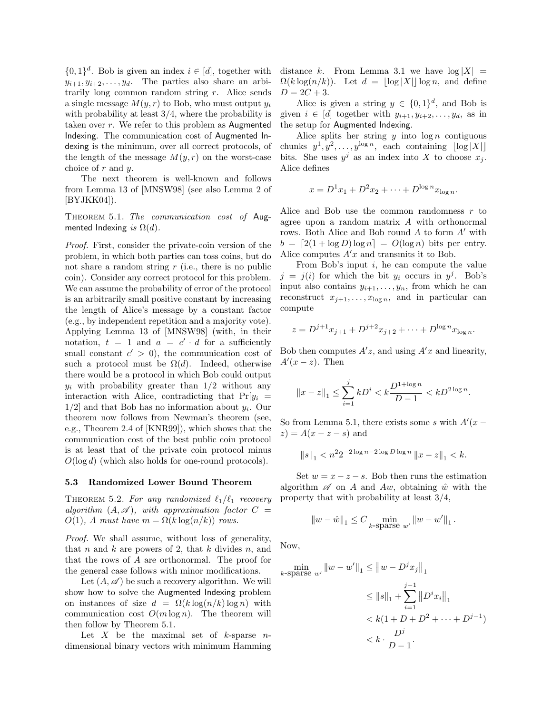$\{0,1\}^d$ . Bob is given an index  $i \in [d]$ , together with  $y_{i+1}, y_{i+2}, \ldots, y_d$ . The parties also share an arbitrarily long common random string r. Alice sends a single message  $M(y, r)$  to Bob, who must output  $y_i$ with probability at least  $3/4$ , where the probability is taken over  $r$ . We refer to this problem as Augmented Indexing. The communication cost of Augmented Indexing is the minimum, over all correct protocols, of the length of the message  $M(y, r)$  on the worst-case choice of r and y.

The next theorem is well-known and follows from Lemma 13 of [MNSW98] (see also Lemma 2 of  $[BYJKK04]$ .

THEOREM 5.1. The communication cost of Augmented Indexing is  $\Omega(d)$ .

Proof. First, consider the private-coin version of the problem, in which both parties can toss coins, but do not share a random string  $r$  (i.e., there is no public coin). Consider any correct protocol for this problem. We can assume the probability of error of the protocol is an arbitrarily small positive constant by increasing the length of Alice's message by a constant factor (e.g., by independent repetition and a majority vote). Applying Lemma 13 of [MNSW98] (with, in their notation,  $t = 1$  and  $a = c' \cdot d$  for a sufficiently small constant  $c' > 0$ , the communication cost of such a protocol must be  $\Omega(d)$ . Indeed, otherwise there would be a protocol in which Bob could output  $y_i$  with probability greater than  $1/2$  without any interaction with Alice, contradicting that  $Pr[y_i] =$  $1/2$  and that Bob has no information about  $y_i$ . Our theorem now follows from Newman's theorem (see, e.g., Theorem 2.4 of [KNR99]), which shows that the communication cost of the best public coin protocol is at least that of the private coin protocol minus  $O(\log d)$  (which also holds for one-round protocols).

#### 5.3 Randomized Lower Bound Theorem

THEOREM 5.2. For any randomized  $\ell_1/\ell_1$  recovery algorithm  $(A, \mathscr{A})$ , with approximation factor  $C =$  $O(1)$ , A must have  $m = \Omega(k \log(n/k))$  rows.

Proof. We shall assume, without loss of generality, that n and k are powers of 2, that k divides n, and that the rows of A are orthonormal. The proof for the general case follows with minor modifications.

Let  $(A, \mathscr{A})$  be such a recovery algorithm. We will show how to solve the Augmented Indexing problem on instances of size  $d = \Omega(k \log(n/k) \log n)$  with communication cost  $O(m \log n)$ . The theorem will then follow by Theorem 5.1.

Let  $X$  be the maximal set of  $k$ -sparse  $n$ dimensional binary vectors with minimum Hamming distance k. From Lemma 3.1 we have  $log |X|$  =  $\Omega(k \log(n/k))$ . Let  $d = |\log |X| |\log n$ , and define  $D = 2C + 3.$ 

Alice is given a string  $y \in \{0,1\}^d$ , and Bob is given  $i \in [d]$  together with  $y_{i+1}, y_{i+2}, \ldots, y_d$ , as in the setup for Augmented Indexing.

Alice splits her string  $y$  into  $\log n$  contiguous chunks  $y^1, y^2, \ldots, y^{\log n}$ , each containing  $|\log |X||$ bits. She uses  $y^j$  as an index into X to choose  $x_j$ . Alice defines

$$
x = D^{1}x_{1} + D^{2}x_{2} + \cdots + D^{\log n}x_{\log n}.
$$

Alice and Bob use the common randomness  $r$  to agree upon a random matrix A with orthonormal rows. Both Alice and Bob round  $A$  to form  $A'$  with  $b = [2(1 + \log D) \log n] = O(\log n)$  bits per entry. Alice computes  $A'x$  and transmits it to Bob.

From Bob's input  $i$ , he can compute the value  $j = j(i)$  for which the bit  $y_i$  occurs in  $y^j$ . Bob's input also contains  $y_{i+1}, \ldots, y_n$ , from which he can reconstruct  $x_{j+1}, \ldots, x_{\log n}$ , and in particular can compute

$$
z = D^{j+1}x_{j+1} + D^{j+2}x_{j+2} + \dots + D^{\log n}x_{\log n}.
$$

Bob then computes  $A'z$ , and using  $A'x$  and linearity,  $A'(x-z)$ . Then

$$
||x-z||_1 \leq \sum_{i=1}^j k D^i < k \frac{D^{1+\log n}}{D-1} < k D^{2\log n}.
$$

So from Lemma 5.1, there exists some s with  $A'(x$  $z$ ) =  $A(x - z - s)$  and

$$
||s||_1 < n^2 2^{-2\log n - 2\log D \log n} ||x - z||_1 < k.
$$

Set  $w = x - z - s$ . Bob then runs the estimation algorithm  $\mathscr A$  on A and Aw, obtaining  $\hat w$  with the property that with probability at least 3/4,

$$
\left\|w-\hat{w}\right\|_1 \leq C \min_{k\text{-sparse }w'}\left\|w-w'\right\|_1.
$$

Now,

$$
\min_{k \text{-sparse } w'} \|w - w'\|_1 \le \|w - D^j x_j\|_1
$$
  
\n
$$
\le \|s\|_1 + \sum_{i=1}^{j-1} \|D^i x_i\|_1
$$
  
\n
$$
< k(1 + D + D^2 + \dots + D^{j-1})
$$
  
\n
$$
< k \cdot \frac{D^j}{D - 1}.
$$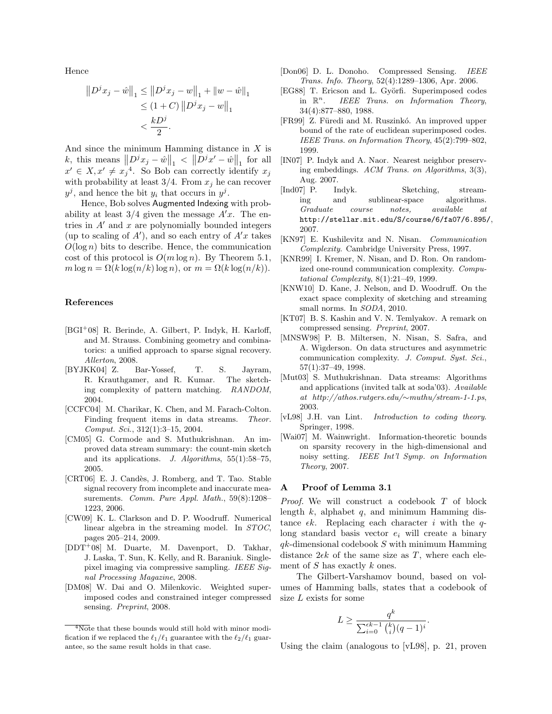Hence

$$
||D^{j}x_{j} - \hat{w}||_{1} \le ||D^{j}x_{j} - w||_{1} + ||w - \hat{w}||_{1}
$$
  
\n
$$
\le (1 + C) ||D^{j}x_{j} - w||_{1}
$$
  
\n
$$
< \frac{kD^{j}}{2}.
$$

And since the minimum Hamming distance in  $X$  is k, this means  $||D^jx_j - \hat{w}||_1 < ||D^jx' - \hat{w}||_1$  for all  $x' \in X, x' \neq x_j^4$ . So Bob can correctly identify  $x_j$ with probability at least  $3/4$ . From  $x_j$  he can recover  $y^j$ , and hence the bit  $y_i$  that occurs in  $y^j$ .

Hence, Bob solves Augmented Indexing with probability at least  $3/4$  given the message  $A'x$ . The entries in  $A'$  and x are polynomially bounded integers (up to scaling of  $A'$ ), and so each entry of  $A'x$  takes  $O(\log n)$  bits to describe. Hence, the communication cost of this protocol is  $O(m \log n)$ . By Theorem 5.1,  $m \log n = \Omega(k \log(n/k) \log n)$ , or  $m = \Omega(k \log(n/k))$ .

# References

- [BGI<sup>+</sup>08] R. Berinde, A. Gilbert, P. Indyk, H. Karloff, and M. Strauss. Combining geometry and combinatorics: a unified approach to sparse signal recovery. Allerton, 2008.
- [BYJKK04] Z. Bar-Yossef, T. S. Jayram, R. Krauthgamer, and R. Kumar. The sketching complexity of pattern matching. RANDOM, 2004.
- [CCFC04] M. Charikar, K. Chen, and M. Farach-Colton. Finding frequent items in data streams. Theor. Comput. Sci., 312(1):3–15, 2004.
- [CM05] G. Cormode and S. Muthukrishnan. An improved data stream summary: the count-min sketch and its applications. J. Algorithms, 55(1):58–75, 2005.
- [CRT06] E. J. Candès, J. Romberg, and T. Tao. Stable signal recovery from incomplete and inaccurate measurements. Comm. Pure Appl. Math., 59(8):1208-1223, 2006.
- [CW09] K. L. Clarkson and D. P. Woodruff. Numerical linear algebra in the streaming model. In STOC, pages 205–214, 2009.
- [DDT<sup>+</sup>08] M. Duarte, M. Davenport, D. Takhar, J. Laska, T. Sun, K. Kelly, and R. Baraniuk. Singlepixel imaging via compressive sampling. IEEE Signal Processing Magazine, 2008.
- [DM08] W. Dai and O. Milenkovic. Weighted superimposed codes and constrained integer compressed sensing. Preprint, 2008.
- [Don06] D. L. Donoho. Compressed Sensing. IEEE Trans. Info. Theory, 52(4):1289–1306, Apr. 2006.
- [EG88] T. Ericson and L. Györfi. Superimposed codes in  $\mathbb{R}^n$ . IEEE Trans. on Information Theory, 34(4):877–880, 1988.
- [FR99] Z. Füredi and M. Ruszinkó. An improved upper bound of the rate of euclidean superimposed codes. IEEE Trans. on Information Theory, 45(2):799–802, 1999.
- [IN07] P. Indyk and A. Naor. Nearest neighbor preserving embeddings. ACM Trans. on Algorithms, 3(3), Aug. 2007.
- [Ind07] P. Indyk. Sketching, streaming and sublinear-space algorithms. Graduate course notes, available at http://stellar.mit.edu/S/course/6/fa07/6.895/, 2007.
- [KN97] E. Kushilevitz and N. Nisan. Communication Complexity. Cambridge University Press, 1997.
- [KNR99] I. Kremer, N. Nisan, and D. Ron. On randomized one-round communication complexity. Computational Complexity, 8(1):21–49, 1999.
- [KNW10] D. Kane, J. Nelson, and D. Woodruff. On the exact space complexity of sketching and streaming small norms. In SODA, 2010.
- [KT07] B. S. Kashin and V. N. Temlyakov. A remark on compressed sensing. Preprint, 2007.
- [MNSW98] P. B. Miltersen, N. Nisan, S. Safra, and A. Wigderson. On data structures and asymmetric communication complexity. J. Comput. Syst. Sci., 57(1):37–49, 1998.
- [Mut03] S. Muthukrishnan. Data streams: Algorithms and applications (invited talk at soda'03). Available at http://athos.rutgers.edu/∼muthu/stream-1-1.ps, 2003.
- [vL98] J.H. van Lint. Introduction to coding theory. Springer, 1998.
- [Wai07] M. Wainwright. Information-theoretic bounds on sparsity recovery in the high-dimensional and noisy setting. IEEE Int'l Symp. on Information Theory, 2007.

#### A Proof of Lemma 3.1

Proof. We will construct a codebook T of block length  $k$ , alphabet  $q$ , and minimum Hamming distance  $\epsilon k$ . Replacing each character i with the qlong standard basis vector  $e_i$  will create a binary  $qk$ -dimensional codebook  $S$  with minimum Hamming distance  $2\epsilon k$  of the same size as T, where each element of  $S$  has exactly  $k$  ones.

The Gilbert-Varshamov bound, based on volumes of Hamming balls, states that a codebook of size L exists for some

$$
L \ge \frac{q^k}{\sum_{i=0}^{\epsilon k - 1} {k \choose i} (q - 1)^i}.
$$

Using the claim (analogous to [vL98], p. 21, proven

 $\sqrt[4]{\text{Note that these bounds would still hold with minor modi-}}$ fication if we replaced the  $\ell_1/\ell_1$  guarantee with the  $\ell_2/\ell_1$  guarantee, so the same result holds in that case.